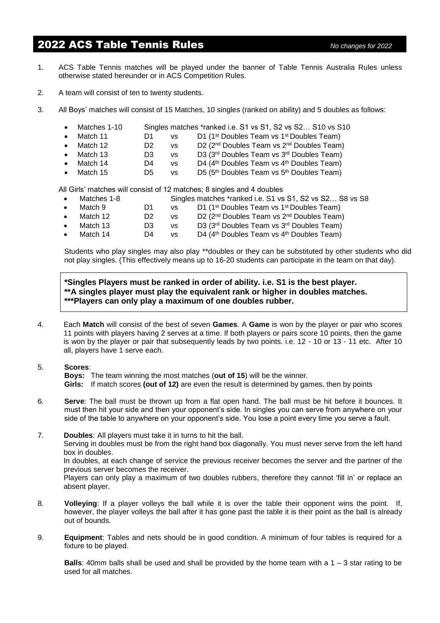## 2022 ACS Table Tennis Rules *No changes for 2022*

- 1. ACS Table Tennis matches will be played under the banner of Table Tennis Australia Rules unless otherwise stated hereunder or in ACS Competition Rules.
- 2. A team will consist of ten to twenty students.
- 3. All Boys' matches will consist of 15 Matches, 10 singles (ranked on ability) and 5 doubles as follows:
	- Matches 1-10 Singles matches \*ranked i.e. S1 vs S1, S2 vs S2... S10 vs S10
	- Match 11 D1 vs D1 (1<sup>st</sup> Doubles Team vs 1<sup>st</sup> Doubles Team)
	- Match 12 D2 vs D2 (2<sup>nd</sup> Doubles Team vs 2<sup>nd</sup> Doubles Team)
	- Match 13 D3 vs D3 (3<sup>rd</sup> Doubles Team vs 3<sup>rd</sup> Doubles Team)
	- Match 14  $D4$  vs  $D4$  (4<sup>th</sup> Doubles Team vs 4<sup>th</sup> Doubles Team)
	- Match 15 D5 vs <sup>th</sup> Doubles Team vs 5<sup>th</sup> Doubles Team)

All Girls' matches will consist of 12 matches; 8 singles and 4 doubles

- Matches 1-8 Singles matches \*ranked i.e. S1 vs S1, S2 vs S2... S8 vs S8 Match 9 D1 vs D1 (1<sup>st</sup> Doubles Team vs 1<sup>st</sup> Doubles Team) Match 12 D2 vs D2 (2<sup>nd</sup> Doubles Team vs 2<sup>nd</sup> Doubles Team) • Match 13 D3 vs D3  $(3<sup>rd</sup>$  Doubles Team vs  $3<sup>rd</sup>$  Doubles Team)
- Match 14 D4 vs  $D4$  (4<sup>th</sup> Doubles Team vs 4<sup>th</sup> Doubles Team)

Students who play singles may also play \*\*doubles or they can be substituted by other students who did not play singles. (This effectively means up to 16-20 students can participate in the team on that day).

**\*Singles Players must be ranked in order of ability. i.e. S1 is the best player. \*\*A singles player must play the equivalent rank or higher in doubles matches. \*\*\*Players can only play a maximum of one doubles rubber.**

- 4. Each **Match** will consist of the best of seven **Games**. A **Game** is won by the player or pair who scores 11 points with players having 2 serves at a time. If both players or pairs score 10 points, then the game is won by the player or pair that subsequently leads by two points. i.e. 12 - 10 or 13 - 11 etc. After 10 all, players have 1 serve each.
- 5. **Scores**:

**Boys:** The team winning the most matches (**out of 15**) will be the winner.

**Girls:** If match scores **(out of 12)** are even the result is determined by games, then by points

- 6. **Serve**: The ball must be thrown up from a flat open hand. The ball must be hit before it bounces. It must then hit your side and then your opponent's side. In singles you can serve from anywhere on your side of the table to anywhere on your opponent's side. You lose a point every time you serve a fault.
- 7. **Doubles**: All players must take it in turns to hit the ball. Serving in doubles must be from the right hand box diagonally. You must never serve from the left hand box in doubles. In doubles, at each change of service the previous receiver becomes the server and the partner of the previous server becomes the receiver.

Players can only play a maximum of two doubles rubbers, therefore they cannot 'fill in' or replace an absent player.

- 8. **Volleying**: If a player volleys the ball while it is over the table their opponent wins the point. If, however, the player volleys the ball after it has gone past the table it is their point as the ball is already out of bounds.
- 9. **Equipment**: Tables and nets should be in good condition. A minimum of four tables is required for a fixture to be played.

**Balls**: 40mm balls shall be used and shall be provided by the home team with a 1 – 3 star rating to be used for all matches.